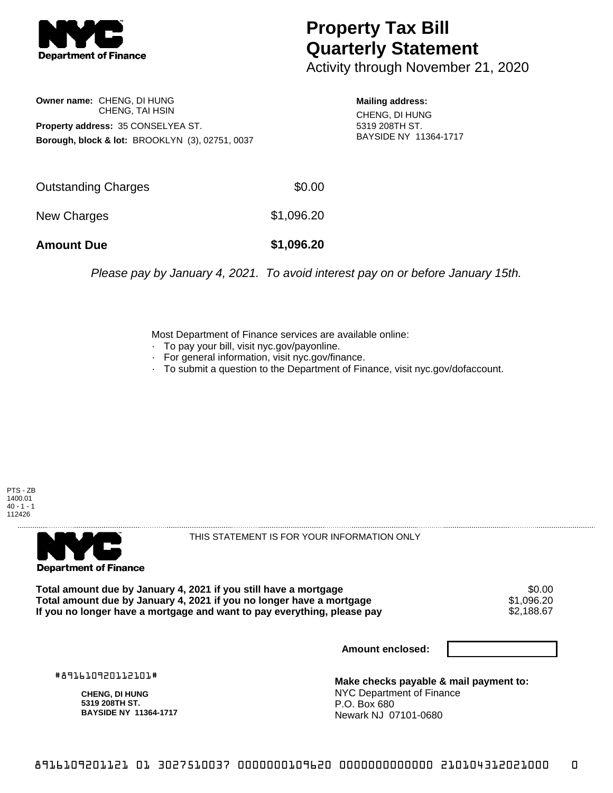

## **Property Tax Bill Quarterly Statement**

Activity through November 21, 2020

**Owner name:** CHENG, DI HUNG CHENG, TAI HSIN **Property address:** 35 CONSELYEA ST. **Borough, block & lot:** BROOKLYN (3), 02751, 0037

**Mailing address:** CHENG, DI HUNG 5319 208TH ST. BAYSIDE NY 11364-1717

| <b>Amount Due</b>   | \$1,096.20 |
|---------------------|------------|
| New Charges         | \$1,096.20 |
| Outstanding Charges | \$0.00     |

Please pay by January 4, 2021. To avoid interest pay on or before January 15th.

Most Department of Finance services are available online:

- · To pay your bill, visit nyc.gov/payonline.
- For general information, visit nyc.gov/finance.
- · To submit a question to the Department of Finance, visit nyc.gov/dofaccount.





THIS STATEMENT IS FOR YOUR INFORMATION ONLY

Total amount due by January 4, 2021 if you still have a mortgage \$0.00<br>Total amount due by January 4, 2021 if you no longer have a mortgage \$1.096.20 **Total amount due by January 4, 2021 if you no longer have a mortgage \$1,096.20<br>If you no longer have a mortgage and want to pay everything, please pay \$2,188.67** If you no longer have a mortgage and want to pay everything, please pay

**Amount enclosed:**

#891610920112101#

**CHENG, DI HUNG 5319 208TH ST. BAYSIDE NY 11364-1717**

**Make checks payable & mail payment to:** NYC Department of Finance P.O. Box 680 Newark NJ 07101-0680